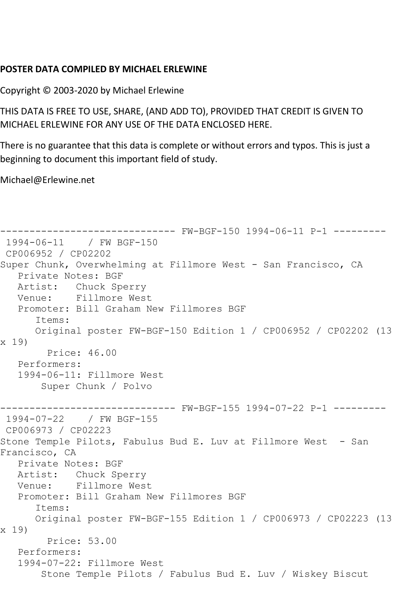## **POSTER DATA COMPILED BY MICHAEL ERLEWINE**

Copyright © 2003-2020 by Michael Erlewine

THIS DATA IS FREE TO USE, SHARE, (AND ADD TO), PROVIDED THAT CREDIT IS GIVEN TO MICHAEL ERLEWINE FOR ANY USE OF THE DATA ENCLOSED HERE.

There is no guarantee that this data is complete or without errors and typos. This is just a beginning to document this important field of study.

Michael@Erlewine.net

```
------------------------------ FW-BGF-150 1994-06-11 P-1 ---------
1994-06-11 / FW BGF-150
CP006952 / CP02202
Super Chunk, Overwhelming at Fillmore West - San Francisco, CA
   Private Notes: BGF
   Artist: Chuck Sperry
   Venue: Fillmore West
   Promoter: Bill Graham New Fillmores BGF
      Items:
      Original poster FW-BGF-150 Edition 1 / CP006952 / CP02202 (13 
x 19)
        Price: 46.00
   Performers:
   1994-06-11: Fillmore West
       Super Chunk / Polvo
------------------------------ FW-BGF-155 1994-07-22 P-1 ---------
1994-07-22 / FW BGF-155
CP006973 / CP02223
Stone Temple Pilots, Fabulus Bud E. Luv at Fillmore West - San 
Francisco, CA
   Private Notes: BGF
   Artist: Chuck Sperry
   Venue: Fillmore West
   Promoter: Bill Graham New Fillmores BGF
      Items:
      Original poster FW-BGF-155 Edition 1 / CP006973 / CP02223 (13 
x 19)
        Price: 53.00
   Performers:
   1994-07-22: Fillmore West
        Stone Temple Pilots / Fabulus Bud E. Luv / Wiskey Biscut
```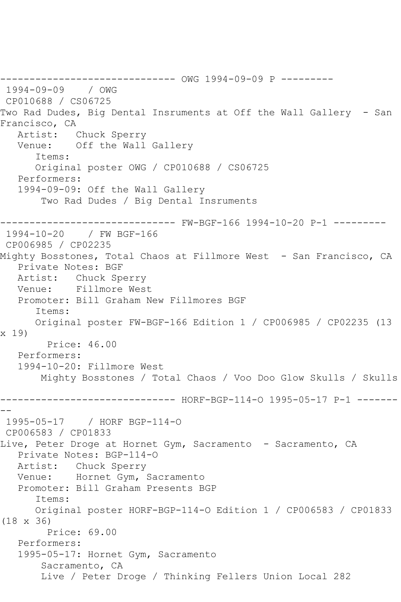------------------------------ OWG 1994-09-09 P --------- 1994-09-09 / OWG CP010688 / CS06725 Two Rad Dudes, Big Dental Insruments at Off the Wall Gallery - San Francisco, CA Artist: Chuck Sperry Venue: Off the Wall Gallery Items: Original poster OWG / CP010688 / CS06725 Performers: 1994-09-09: Off the Wall Gallery Two Rad Dudes / Big Dental Insruments ------------------------------ FW-BGF-166 1994-10-20 P-1 --------- 1994-10-20 / FW BGF-166 CP006985 / CP02235 Mighty Bosstones, Total Chaos at Fillmore West - San Francisco, CA Private Notes: BGF Artist: Chuck Sperry Venue: Fillmore West Promoter: Bill Graham New Fillmores BGF Items: Original poster FW-BGF-166 Edition 1 / CP006985 / CP02235 (13 x 19) Price: 46.00 Performers: 1994-10-20: Fillmore West Mighty Bosstones / Total Chaos / Voo Doo Glow Skulls / Skulls ------------------------------ HORF-BGP-114-O 1995-05-17 P-1 ------- -- 1995-05-17 / HORF BGP-114-O CP006583 / CP01833 Live, Peter Droge at Hornet Gym, Sacramento - Sacramento, CA Private Notes: BGP-114-O Artist: Chuck Sperry Venue: Hornet Gym, Sacramento Promoter: Bill Graham Presents BGP Items: Original poster HORF-BGP-114-O Edition 1 / CP006583 / CP01833 (18 x 36) Price: 69.00 Performers: 1995-05-17: Hornet Gym, Sacramento Sacramento, CA Live / Peter Droge / Thinking Fellers Union Local 282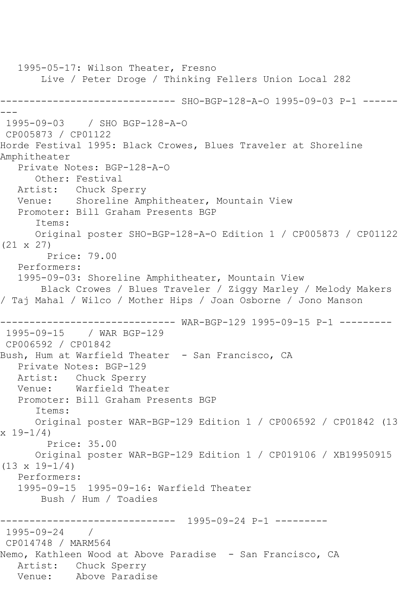1995-05-17: Wilson Theater, Fresno Live / Peter Droge / Thinking Fellers Union Local 282 ------------------------------ SHO-BGP-128-A-O 1995-09-03 P-1 ------ --- 1995-09-03 / SHO BGP-128-A-O CP005873 / CP01122 Horde Festival 1995: Black Crowes, Blues Traveler at Shoreline Amphitheater Private Notes: BGP-128-A-O Other: Festival Artist: Chuck Sperry Venue: Shoreline Amphitheater, Mountain View Promoter: Bill Graham Presents BGP Items: Original poster SHO-BGP-128-A-O Edition 1 / CP005873 / CP01122 (21 x 27) Price: 79.00 Performers: 1995-09-03: Shoreline Amphitheater, Mountain View Black Crowes / Blues Traveler / Ziggy Marley / Melody Makers / Taj Mahal / Wilco / Mother Hips / Joan Osborne / Jono Manson ------------------------------ WAR-BGP-129 1995-09-15 P-1 --------- 1995-09-15 / WAR BGP-129 CP006592 / CP01842 Bush, Hum at Warfield Theater - San Francisco, CA Private Notes: BGP-129 Artist: Chuck Sperry Venue: Warfield Theater Promoter: Bill Graham Presents BGP Items: Original poster WAR-BGP-129 Edition 1 / CP006592 / CP01842 (13  $x 19-1/4$  Price: 35.00 Original poster WAR-BGP-129 Edition 1 / CP019106 / XB19950915 (13 x 19-1/4) Performers: 1995-09-15 1995-09-16: Warfield Theater Bush / Hum / Toadies ------------------------------ 1995-09-24 P-1 --------- 1995-09-24 / CP014748 / MARM564 Nemo, Kathleen Wood at Above Paradise - San Francisco, CA Artist: Chuck Sperry Venue: Above Paradise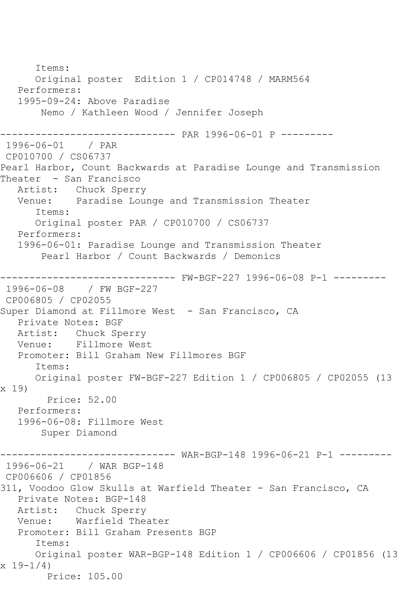Items: Original poster Edition 1 / CP014748 / MARM564 Performers: 1995-09-24: Above Paradise Nemo / Kathleen Wood / Jennifer Joseph ------------------------------ PAR 1996-06-01 P --------- 1996-06-01 / PAR CP010700 / CS06737 Pearl Harbor, Count Backwards at Paradise Lounge and Transmission Theater - San Francisco<br>Artist: Chuck Sperr Chuck Sperry Venue: Paradise Lounge and Transmission Theater Items: Original poster PAR / CP010700 / CS06737 Performers: 1996-06-01: Paradise Lounge and Transmission Theater Pearl Harbor / Count Backwards / Demonics ------------------------------ FW-BGF-227 1996-06-08 P-1 --------- 1996-06-08 / FW BGF-227 CP006805 / CP02055 Super Diamond at Fillmore West - San Francisco, CA Private Notes: BGF<br>Artist: Chuck Sp Artist: Chuck Sperry<br>Venue: Fillmore Wes Fillmore West Promoter: Bill Graham New Fillmores BGF Items: Original poster FW-BGF-227 Edition 1 / CP006805 / CP02055 (13 x 19) Price: 52.00 Performers: 1996-06-08: Fillmore West Super Diamond ------------------------------ WAR-BGP-148 1996-06-21 P-1 --------- 1996-06-21 / WAR BGP-148 CP006606 / CP01856 311, Voodoo Glow Skulls at Warfield Theater - San Francisco, CA Private Notes: BGP-148 Artist: Chuck Sperry Venue: Warfield Theater Promoter: Bill Graham Presents BGP Items: Original poster WAR-BGP-148 Edition 1 / CP006606 / CP01856 (13 x 19-1/4) Price: 105.00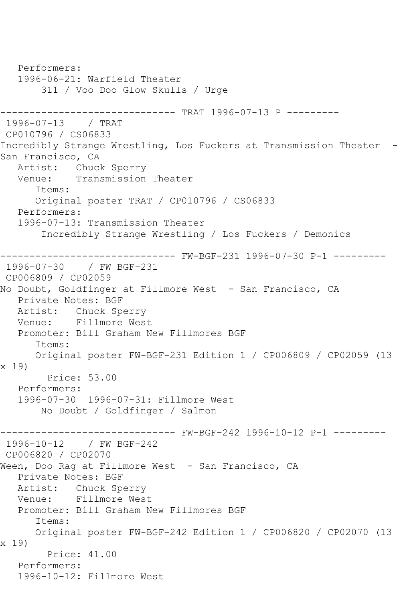Performers: 1996-06-21: Warfield Theater 311 / Voo Doo Glow Skulls / Urge ------------------------------ TRAT 1996-07-13 P --------- 1996-07-13 / TRAT CP010796 / CS06833 Incredibly Strange Wrestling, Los Fuckers at Transmission Theater - San Francisco, CA Artist: Chuck Sperry Venue: Transmission Theater Items: Original poster TRAT / CP010796 / CS06833 Performers: 1996-07-13: Transmission Theater Incredibly Strange Wrestling / Los Fuckers / Demonics ------------------------------ FW-BGF-231 1996-07-30 P-1 --------- 1996-07-30 / FW BGF-231 CP006809 / CP02059 No Doubt, Goldfinger at Fillmore West - San Francisco, CA Private Notes: BGF Artist: Chuck Sperry Venue: Fillmore West Promoter: Bill Graham New Fillmores BGF Items: Original poster FW-BGF-231 Edition 1 / CP006809 / CP02059 (13 x 19) Price: 53.00 Performers: 1996-07-30 1996-07-31: Fillmore West No Doubt / Goldfinger / Salmon ------------------------------ FW-BGF-242 1996-10-12 P-1 --------- 1996-10-12 / FW BGF-242 CP006820 / CP02070 Ween, Doo Rag at Fillmore West - San Francisco, CA Private Notes: BGF Artist: Chuck Sperry Venue: Fillmore West Promoter: Bill Graham New Fillmores BGF Items: Original poster FW-BGF-242 Edition 1 / CP006820 / CP02070 (13 x 19) Price: 41.00 Performers: 1996-10-12: Fillmore West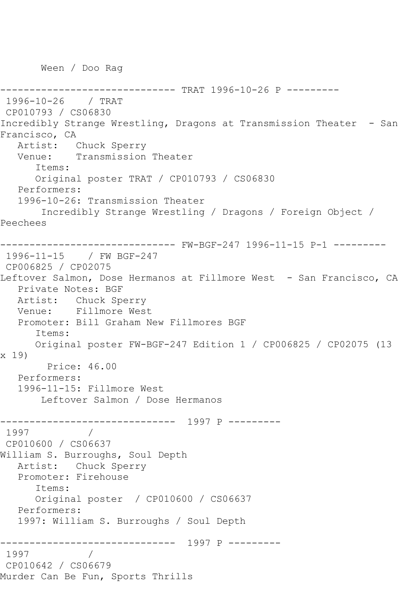Ween / Doo Rag

```
------------------------------ TRAT 1996-10-26 P ---------
1996-10-26 / TRAT 
CP010793 / CS06830
Incredibly Strange Wrestling, Dragons at Transmission Theater - San 
Francisco, CA
   Artist: Chuck Sperry
   Venue: Transmission Theater
       Items:
       Original poster TRAT / CP010793 / CS06830
   Performers:
   1996-10-26: Transmission Theater
        Incredibly Strange Wrestling / Dragons / Foreign Object / 
Peechees
------------------------------ FW-BGF-247 1996-11-15 P-1 ---------
1996-11-15 / FW BGF-247
CP006825 / CP02075
Leftover Salmon, Dose Hermanos at Fillmore West - San Francisco, CA
   Private Notes: BGF
   Artist: Chuck Sperry
   Venue: Fillmore West
   Promoter: Bill Graham New Fillmores BGF
       Items:
      Original poster FW-BGF-247 Edition 1 / CP006825 / CP02075 (13 
x 19)
        Price: 46.00
   Performers:
   1996-11-15: Fillmore West
        Leftover Salmon / Dose Hermanos
------------------------------ 1997 P ---------
1997 / 
CP010600 / CS06637
William S. Burroughs, Soul Depth
   Artist: Chuck Sperry
   Promoter: Firehouse
      Items:
       Original poster / CP010600 / CS06637
   Performers:
   1997: William S. Burroughs / Soul Depth
------------------------------ 1997 P ---------
1997 / 
CP010642 / CS06679
Murder Can Be Fun, Sports Thrills
```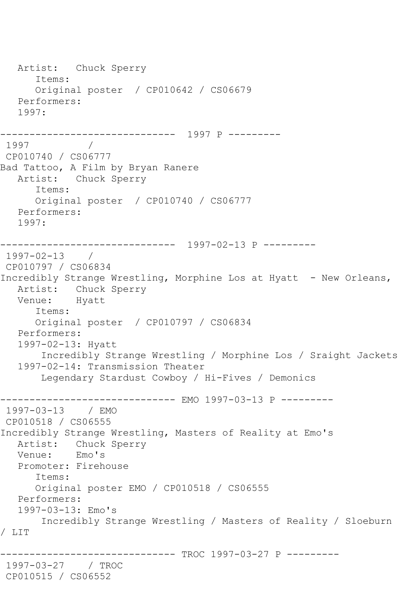```
 Artist: Chuck Sperry
       Items:
       Original poster / CP010642 / CS06679
   Performers:
    1997:
          ------------------------------ 1997 P ---------
1997 / 
CP010740 / CS06777
Bad Tattoo, A Film by Bryan Ranere
   Artist: Chuck Sperry
       Items:
       Original poster / CP010740 / CS06777
   Performers:
   1997:
             ------------------------------ 1997-02-13 P ---------
1997-02-13 / 
CP010797 / CS06834
Incredibly Strange Wrestling, Morphine Los at Hyatt - New Orleans,
   Artist: Chuck Sperry
   Venue: Hyatt
       Items:
       Original poster / CP010797 / CS06834
   Performers:
    1997-02-13: Hyatt
        Incredibly Strange Wrestling / Morphine Los / Sraight Jackets
    1997-02-14: Transmission Theater
        Legendary Stardust Cowboy / Hi-Fives / Demonics
                     ---------- EMO 1997-03-13 P ---------
1997-03-13 / EMO 
CP010518 / CS06555
Incredibly Strange Wrestling, Masters of Reality at Emo's
  Artist: Chuck Sperry<br>Venue: Emo's
  Venue:
   Promoter: Firehouse
       Items:
       Original poster EMO / CP010518 / CS06555
   Performers:
    1997-03-13: Emo's
        Incredibly Strange Wrestling / Masters of Reality / Sloeburn 
/ LIT
                      --------- TROC 1997-03-27 P ---------
1997-03-27 / TROC 
CP010515 / CS06552
```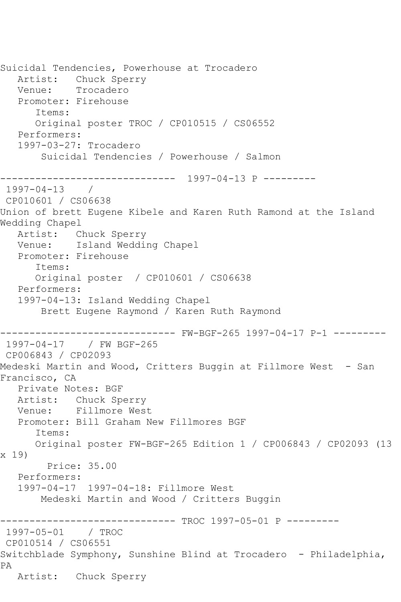Suicidal Tendencies, Powerhouse at Trocadero Artist: Chuck Sperry Venue: Trocadero Promoter: Firehouse Items: Original poster TROC / CP010515 / CS06552 Performers: 1997-03-27: Trocadero Suicidal Tendencies / Powerhouse / Salmon ------------------------------ 1997-04-13 P --------- 1997-04-13 / CP010601 / CS06638 Union of brett Eugene Kibele and Karen Ruth Ramond at the Island Wedding Chapel Artist: Chuck Sperry Venue: Island Wedding Chapel Promoter: Firehouse Items: Original poster / CP010601 / CS06638 Performers: 1997-04-13: Island Wedding Chapel Brett Eugene Raymond / Karen Ruth Raymond ------------------------------ FW-BGF-265 1997-04-17 P-1 --------- 1997-04-17 / FW BGF-265 CP006843 / CP02093 Medeski Martin and Wood, Critters Buggin at Fillmore West - San Francisco, CA Private Notes: BGF Artist: Chuck Sperry Venue: Fillmore West Promoter: Bill Graham New Fillmores BGF Items: Original poster FW-BGF-265 Edition 1 / CP006843 / CP02093 (13 x 19) Price: 35.00 Performers: 1997-04-17 1997-04-18: Fillmore West Medeski Martin and Wood / Critters Buggin ------------------------------ TROC 1997-05-01 P --------- 1997-05-01 / TROC CP010514 / CS06551 Switchblade Symphony, Sunshine Blind at Trocadero - Philadelphia, PA Artist: Chuck Sperry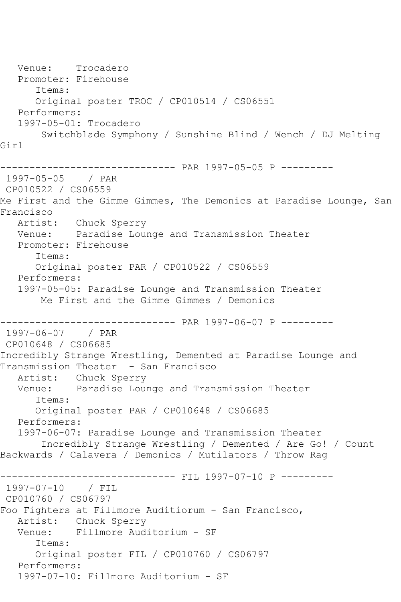```
 Venue: Trocadero
   Promoter: Firehouse
      Items:
      Original poster TROC / CP010514 / CS06551
   Performers:
   1997-05-01: Trocadero
        Switchblade Symphony / Sunshine Blind / Wench / DJ Melting 
Girl
------------------------------ PAR 1997-05-05 P ---------
1997-05-05 / PAR 
CP010522 / CS06559
Me First and the Gimme Gimmes, The Demonics at Paradise Lounge, San 
Francisco
   Artist: Chuck Sperry
   Venue: Paradise Lounge and Transmission Theater
   Promoter: Firehouse
      Items:
      Original poster PAR / CP010522 / CS06559
   Performers:
   1997-05-05: Paradise Lounge and Transmission Theater
       Me First and the Gimme Gimmes / Demonics
------------------------------ PAR 1997-06-07 P ---------
1997-06-07 / PAR 
CP010648 / CS06685
Incredibly Strange Wrestling, Demented at Paradise Lounge and 
Transmission Theater - San Francisco
   Artist: Chuck Sperry
   Venue: Paradise Lounge and Transmission Theater
      Items:
      Original poster PAR / CP010648 / CS06685
   Performers:
   1997-06-07: Paradise Lounge and Transmission Theater
        Incredibly Strange Wrestling / Demented / Are Go! / Count 
Backwards / Calavera / Demonics / Mutilators / Throw Rag
             ----------------- FIL 1997-07-10 P ---------
1997-07-10 / FIL 
CP010760 / CS06797
Foo Fighters at Fillmore Auditiorum - San Francisco,
   Artist: Chuck Sperry
   Venue: Fillmore Auditorium - SF
      Items:
      Original poster FIL / CP010760 / CS06797
   Performers:
   1997-07-10: Fillmore Auditorium - SF
```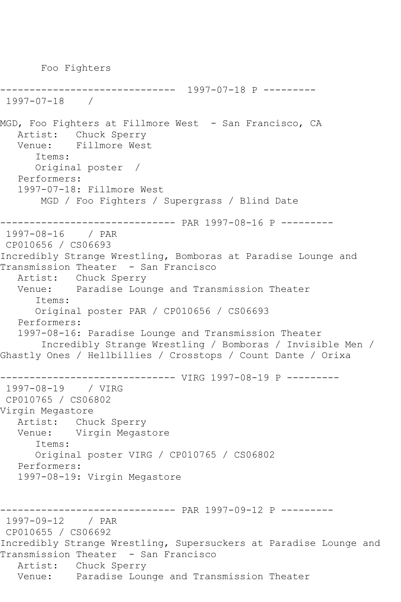------------------------------ 1997-07-18 P --------- 1997-07-18 / MGD, Foo Fighters at Fillmore West - San Francisco, CA Artist: Chuck Sperry<br>Venue: Fillmore West Fillmore West Items: Original poster / Performers: 1997-07-18: Fillmore West MGD / Foo Fighters / Supergrass / Blind Date ------------------------------ PAR 1997-08-16 P --------- 1997-08-16 / PAR CP010656 / CS06693 Incredibly Strange Wrestling, Bomboras at Paradise Lounge and Transmission Theater - San Francisco Artist: Chuck Sperry Venue: Paradise Lounge and Transmission Theater Items: Original poster PAR / CP010656 / CS06693 Performers: 1997-08-16: Paradise Lounge and Transmission Theater Incredibly Strange Wrestling / Bomboras / Invisible Men / Ghastly Ones / Hellbillies / Crosstops / Count Dante / Orixa ------------------------------ VIRG 1997-08-19 P --------- 1997-08-19 / VIRG CP010765 / CS06802 Virgin Megastore Artist: Chuck Sperry<br>Venue: Virgin Megas Virgin Megastore Items: Original poster VIRG / CP010765 / CS06802 Performers: 1997-08-19: Virgin Megastore ------------------------------ PAR 1997-09-12 P --------- 1997-09-12 / PAR CP010655 / CS06692 Incredibly Strange Wrestling, Supersuckers at Paradise Lounge and Transmission Theater - San Francisco Artist: Chuck Sperry Venue: Paradise Lounge and Transmission Theater

Foo Fighters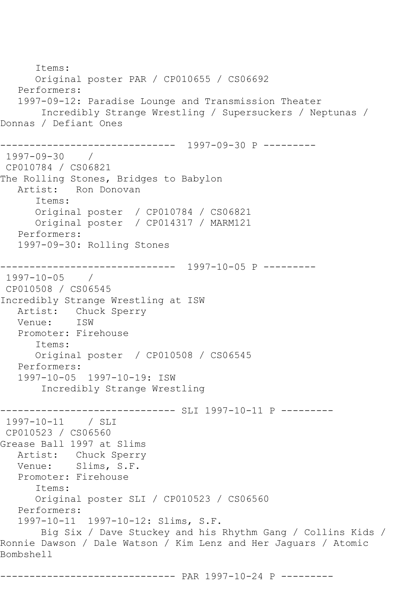Items: Original poster PAR / CP010655 / CS06692 Performers: 1997-09-12: Paradise Lounge and Transmission Theater Incredibly Strange Wrestling / Supersuckers / Neptunas / Donnas / Defiant Ones ------------------------------ 1997-09-30 P --------- 1997-09-30 / CP010784 / CS06821 The Rolling Stones, Bridges to Babylon Artist: Ron Donovan Items: Original poster / CP010784 / CS06821 Original poster / CP014317 / MARM121 Performers: 1997-09-30: Rolling Stones ------------------------------ 1997-10-05 P --------- 1997-10-05 / CP010508 / CS06545 Incredibly Strange Wrestling at ISW Artist: Chuck Sperry<br>Venue: ISW Venue: Promoter: Firehouse Items: Original poster / CP010508 / CS06545 Performers: 1997-10-05 1997-10-19: ISW Incredibly Strange Wrestling ------------------------------ SLI 1997-10-11 P --------- 1997-10-11 / SLI CP010523 / CS06560 Grease Ball 1997 at Slims Artist: Chuck Sperry Venue: Slims, S.F. Promoter: Firehouse Items: Original poster SLI / CP010523 / CS06560 Performers: 1997-10-11 1997-10-12: Slims, S.F. Big Six / Dave Stuckey and his Rhythm Gang / Collins Kids / Ronnie Dawson / Dale Watson / Kim Lenz and Her Jaguars / Atomic Bombshell

------------------------------ PAR 1997-10-24 P ---------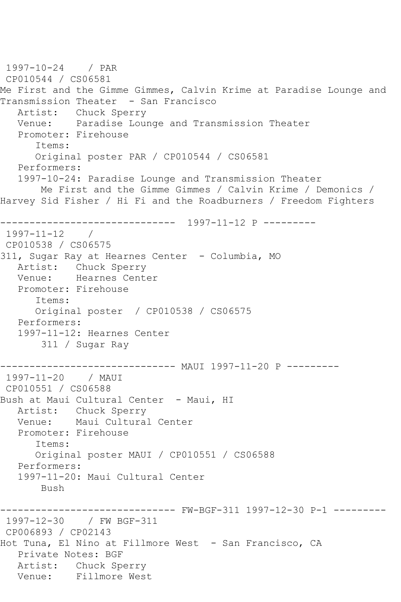1997-10-24 / PAR CP010544 / CS06581 Me First and the Gimme Gimmes, Calvin Krime at Paradise Lounge and Transmission Theater - San Francisco Artist: Chuck Sperry Venue: Paradise Lounge and Transmission Theater Promoter: Firehouse Items: Original poster PAR / CP010544 / CS06581 Performers: 1997-10-24: Paradise Lounge and Transmission Theater Me First and the Gimme Gimmes / Calvin Krime / Demonics / Harvey Sid Fisher / Hi Fi and the Roadburners / Freedom Fighters ------------------------------ 1997-11-12 P --------- 1997-11-12 / CP010538 / CS06575 311, Sugar Ray at Hearnes Center - Columbia, MO Artist: Chuck Sperry Venue: Hearnes Center Promoter: Firehouse Items: Original poster / CP010538 / CS06575 Performers: 1997-11-12: Hearnes Center 311 / Sugar Ray ------------------------------ MAUI 1997-11-20 P --------- 1997-11-20 / MAUI CP010551 / CS06588 Bush at Maui Cultural Center - Maui, HI Artist: Chuck Sperry Venue: Maui Cultural Center Promoter: Firehouse Items: Original poster MAUI / CP010551 / CS06588 Performers: 1997-11-20: Maui Cultural Center Bush ------------------------------ FW-BGF-311 1997-12-30 P-1 --------- 1997-12-30 / FW BGF-311 CP006893 / CP02143 Hot Tuna, El Nino at Fillmore West - San Francisco, CA Private Notes: BGF Artist: Chuck Sperry Venue: Fillmore West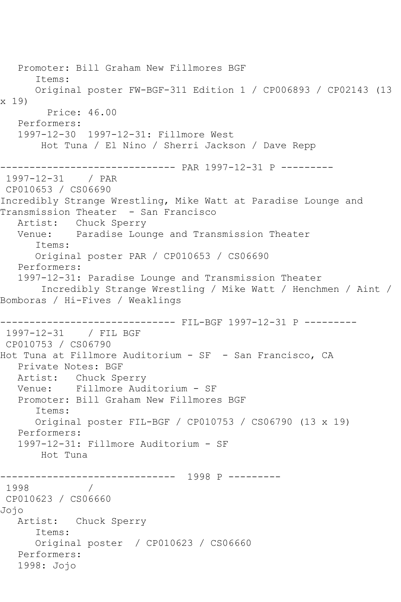Promoter: Bill Graham New Fillmores BGF Items: Original poster FW-BGF-311 Edition 1 / CP006893 / CP02143 (13 x 19) Price: 46.00 Performers: 1997-12-30 1997-12-31: Fillmore West Hot Tuna / El Nino / Sherri Jackson / Dave Repp ------------------------------ PAR 1997-12-31 P --------- 1997-12-31 / PAR CP010653 / CS06690 Incredibly Strange Wrestling, Mike Watt at Paradise Lounge and Transmission Theater - San Francisco Artist: Chuck Sperry Venue: Paradise Lounge and Transmission Theater Items: Original poster PAR / CP010653 / CS06690 Performers: 1997-12-31: Paradise Lounge and Transmission Theater Incredibly Strange Wrestling / Mike Watt / Henchmen / Aint / Bomboras / Hi-Fives / Weaklings ------------------------------ FIL-BGF 1997-12-31 P --------- 1997-12-31 / FIL BGF CP010753 / CS06790 Hot Tuna at Fillmore Auditorium - SF - San Francisco, CA Private Notes: BGF Artist: Chuck Sperry Venue: Fillmore Auditorium - SF Promoter: Bill Graham New Fillmores BGF Items: Original poster FIL-BGF / CP010753 / CS06790 (13 x 19) Performers: 1997-12-31: Fillmore Auditorium - SF Hot Tuna ------------------------------ 1998 P --------- 1998 / CP010623 / CS06660 Jojo Artist: Chuck Sperry Items: Original poster / CP010623 / CS06660 Performers: 1998: Jojo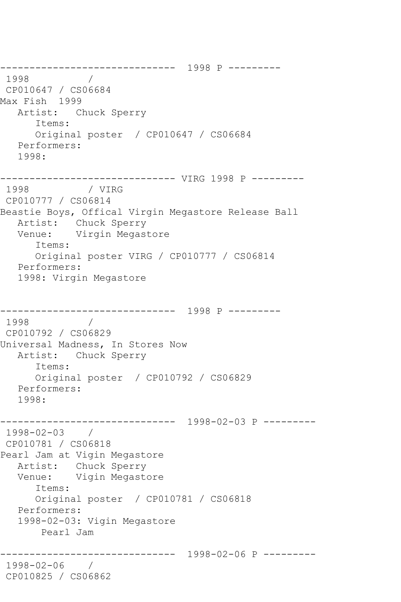------------------------------ 1998 P --------- 1998 / CP010647 / CS06684 Max Fish 1999 Artist: Chuck Sperry Items: Original poster / CP010647 / CS06684 Performers: 1998: ------------------------------ VIRG 1998 P --------- 1998 / VIRG CP010777 / CS06814 Beastie Boys, Offical Virgin Megastore Release Ball Artist: Chuck Sperry Venue: Virgin Megastore Items: Original poster VIRG / CP010777 / CS06814 Performers: 1998: Virgin Megastore ------------------------------ 1998 P --------- 1998 CP010792 / CS06829 Universal Madness, In Stores Now Artist: Chuck Sperry Items: Original poster / CP010792 / CS06829 Performers: 1998: ------------------------------ 1998-02-03 P --------- 1998-02-03 / CP010781 / CS06818 Pearl Jam at Vigin Megastore Artist: Chuck Sperry Venue: Vigin Megastore Items: Original poster / CP010781 / CS06818 Performers: 1998-02-03: Vigin Megastore Pearl Jam ------------------------------ 1998-02-06 P --------- 1998-02-06 / CP010825 / CS06862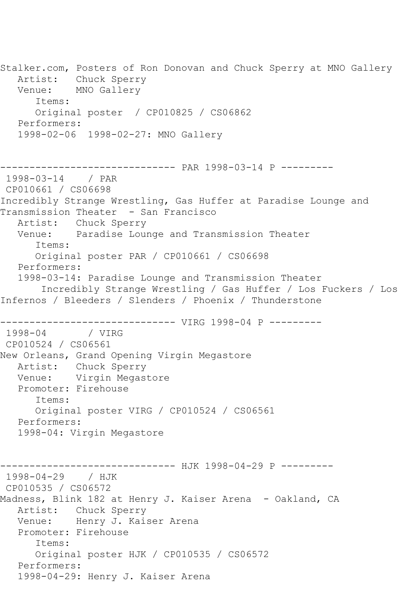Stalker.com, Posters of Ron Donovan and Chuck Sperry at MNO Gallery Artist: Chuck Sperry Venue: MNO Gallery Items: Original poster / CP010825 / CS06862 Performers: 1998-02-06 1998-02-27: MNO Gallery ------------------------------ PAR 1998-03-14 P --------- 1998-03-14 / PAR CP010661 / CS06698 Incredibly Strange Wrestling, Gas Huffer at Paradise Lounge and Transmission Theater - San Francisco Artist: Chuck Sperry Venue: Paradise Lounge and Transmission Theater Items: Original poster PAR / CP010661 / CS06698 Performers: 1998-03-14: Paradise Lounge and Transmission Theater Incredibly Strange Wrestling / Gas Huffer / Los Fuckers / Los Infernos / Bleeders / Slenders / Phoenix / Thunderstone ------------------------------ VIRG 1998-04 P --------- 1998-04 / VIRG CP010524 / CS06561 New Orleans, Grand Opening Virgin Megastore Artist: Chuck Sperry Venue: Virgin Megastore Promoter: Firehouse Items: Original poster VIRG / CP010524 / CS06561 Performers: 1998-04: Virgin Megastore ------------------------------ HJK 1998-04-29 P --------- 1998-04-29 / HJK CP010535 / CS06572 Madness, Blink 182 at Henry J. Kaiser Arena - Oakland, CA Artist: Chuck Sperry Venue: Henry J. Kaiser Arena Promoter: Firehouse Items: Original poster HJK / CP010535 / CS06572 Performers: 1998-04-29: Henry J. Kaiser Arena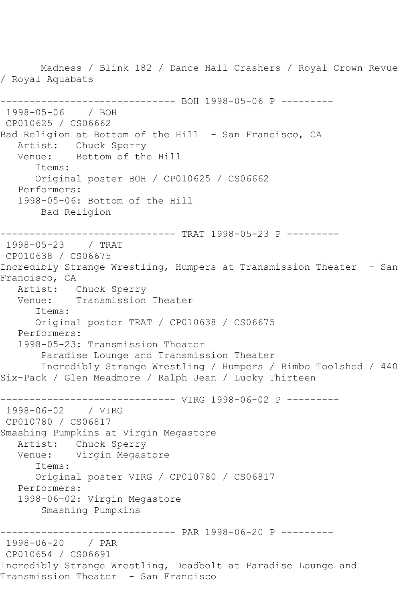Madness / Blink 182 / Dance Hall Crashers / Royal Crown Revue / Royal Aquabats ------------------------------ BOH 1998-05-06 P --------- 1998-05-06 / BOH CP010625 / CS06662 Bad Religion at Bottom of the Hill - San Francisco, CA Artist: Chuck Sperry Venue: Bottom of the Hill Items: Original poster BOH / CP010625 / CS06662 Performers: 1998-05-06: Bottom of the Hill Bad Religion ------------------------------ TRAT 1998-05-23 P --------- 1998-05-23 / TRAT CP010638 / CS06675 Incredibly Strange Wrestling, Humpers at Transmission Theater - San Francisco, CA Artist: Chuck Sperry Venue: Transmission Theater Items: Original poster TRAT / CP010638 / CS06675 Performers: 1998-05-23: Transmission Theater Paradise Lounge and Transmission Theater Incredibly Strange Wrestling / Humpers / Bimbo Toolshed / 440 Six-Pack / Glen Meadmore / Ralph Jean / Lucky Thirteen ------------------------------ VIRG 1998-06-02 P --------- 1998-06-02 / VIRG CP010780 / CS06817 Smashing Pumpkins at Virgin Megastore Artist: Chuck Sperry Venue: Virgin Megastore Items: Original poster VIRG / CP010780 / CS06817 Performers: 1998-06-02: Virgin Megastore Smashing Pumpkins ------------------------------ PAR 1998-06-20 P --------- 1998-06-20 / PAR CP010654 / CS06691 Incredibly Strange Wrestling, Deadbolt at Paradise Lounge and Transmission Theater - San Francisco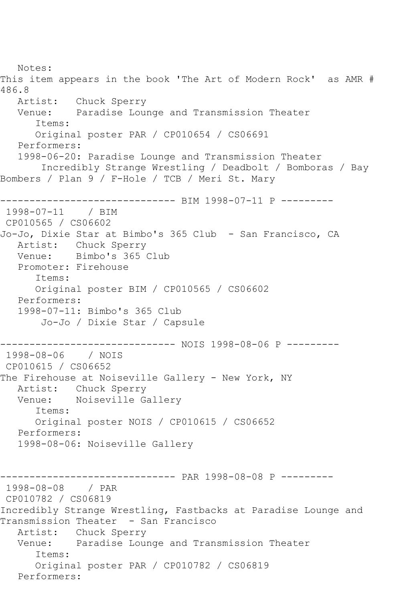Notes: This item appears in the book 'The Art of Modern Rock' as AMR # 486.8 Artist: Chuck Sperry<br>Venue: Paradise Lour Paradise Lounge and Transmission Theater Items: Original poster PAR / CP010654 / CS06691 Performers: 1998-06-20: Paradise Lounge and Transmission Theater Incredibly Strange Wrestling / Deadbolt / Bomboras / Bay Bombers / Plan 9 / F-Hole / TCB / Meri St. Mary ------------------------------ BIM 1998-07-11 P --------- 1998-07-11 / BIM CP010565 / CS06602 Jo-Jo, Dixie Star at Bimbo's 365 Club - San Francisco, CA Artist: Chuck Sperry Venue: Bimbo's 365 Club Promoter: Firehouse Items: Original poster BIM / CP010565 / CS06602 Performers: 1998-07-11: Bimbo's 365 Club Jo-Jo / Dixie Star / Capsule ------------------------------ NOIS 1998-08-06 P --------- 1998-08-06 / NOIS CP010615 / CS06652 The Firehouse at Noiseville Gallery - New York, NY Artist: Chuck Sperry<br>Venue: Noiseville G Noiseville Gallery Items: Original poster NOIS / CP010615 / CS06652 Performers: 1998-08-06: Noiseville Gallery ---------- PAR 1998-08-08 P ---------1998-08-08 / PAR CP010782 / CS06819 Incredibly Strange Wrestling, Fastbacks at Paradise Lounge and Transmission Theater - San Francisco Artist: Chuck Sperry Venue: Paradise Lounge and Transmission Theater Items: Original poster PAR / CP010782 / CS06819 Performers: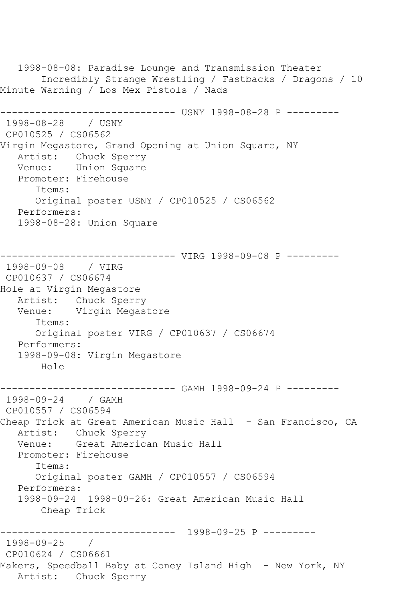1998-08-08: Paradise Lounge and Transmission Theater Incredibly Strange Wrestling / Fastbacks / Dragons / 10 Minute Warning / Los Mex Pistols / Nads ------------------------------ USNY 1998-08-28 P --------- 1998-08-28 / USNY CP010525 / CS06562 Virgin Megastore, Grand Opening at Union Square, NY Artist: Chuck Sperry Venue: Union Square Promoter: Firehouse Items: Original poster USNY / CP010525 / CS06562 Performers: 1998-08-28: Union Square ------------------------------ VIRG 1998-09-08 P --------- 1998-09-08 / VIRG CP010637 / CS06674 Hole at Virgin Megastore Artist: Chuck Sperry Venue: Virgin Megastore Items: Original poster VIRG / CP010637 / CS06674 Performers: 1998-09-08: Virgin Megastore Hole ------------------------------ GAMH 1998-09-24 P --------- 1998-09-24 / GAMH CP010557 / CS06594 Cheap Trick at Great American Music Hall - San Francisco, CA Artist: Chuck Sperry Venue: Great American Music Hall Promoter: Firehouse Items: Original poster GAMH / CP010557 / CS06594 Performers: 1998-09-24 1998-09-26: Great American Music Hall Cheap Trick ------------------------------ 1998-09-25 P --------- 1998-09-25 / CP010624 / CS06661 Makers, Speedball Baby at Coney Island High - New York, NY Artist: Chuck Sperry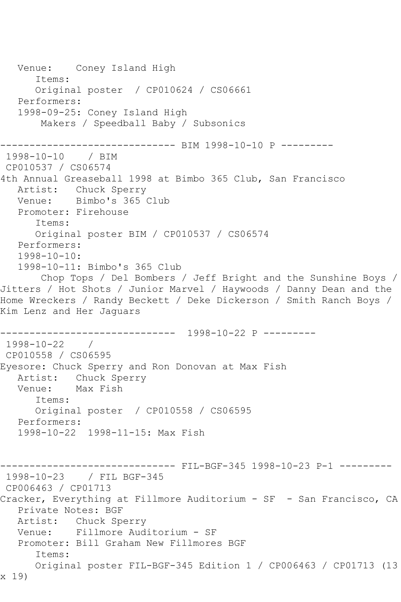Venue: Coney Island High Items: Original poster / CP010624 / CS06661 Performers: 1998-09-25: Coney Island High Makers / Speedball Baby / Subsonics ------------------------------ BIM 1998-10-10 P --------- 1998-10-10 / BIM CP010537 / CS06574 4th Annual Greaseball 1998 at Bimbo 365 Club, San Francisco Artist: Chuck Sperry Venue: Bimbo's 365 Club Promoter: Firehouse Items: Original poster BIM / CP010537 / CS06574 Performers: 1998-10-10: 1998-10-11: Bimbo's 365 Club Chop Tops / Del Bombers / Jeff Bright and the Sunshine Boys / Jitters / Hot Shots / Junior Marvel / Haywoods / Danny Dean and the Home Wreckers / Randy Beckett / Deke Dickerson / Smith Ranch Boys / Kim Lenz and Her Jaguars ------------------------------ 1998-10-22 P --------- 1998-10-22 / CP010558 / CS06595 Eyesore: Chuck Sperry and Ron Donovan at Max Fish Artist: Chuck Sperry Venue: Max Fish Items: Original poster / CP010558 / CS06595 Performers: 1998-10-22 1998-11-15: Max Fish ------------------------------ FIL-BGF-345 1998-10-23 P-1 --------- 1998-10-23 / FIL BGF-345 CP006463 / CP01713 Cracker, Everything at Fillmore Auditorium - SF - San Francisco, CA Private Notes: BGF Artist: Chuck Sperry Venue: Fillmore Auditorium - SF Promoter: Bill Graham New Fillmores BGF Items: Original poster FIL-BGF-345 Edition 1 / CP006463 / CP01713 (13 x 19)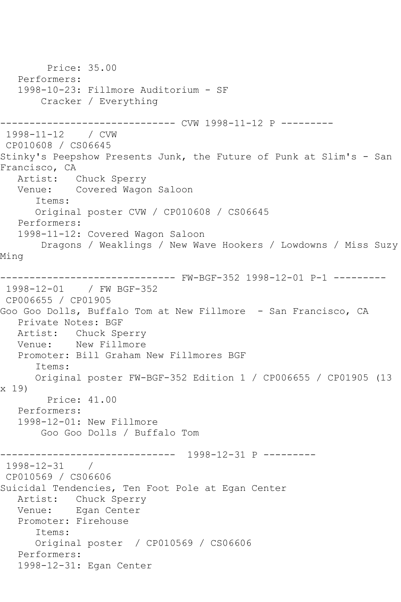```
 Price: 35.00
    Performers:
    1998-10-23: Fillmore Auditorium - SF
        Cracker / Everything
             ------------------------------ CVW 1998-11-12 P ---------
1998-11-12 / CVW 
CP010608 / CS06645
Stinky's Peepshow Presents Junk, the Future of Punk at Slim's - San 
Francisco, CA
   Artist: Chuck Sperry
   Venue: Covered Wagon Saloon
       Items:
       Original poster CVW / CP010608 / CS06645
   Performers:
   1998-11-12: Covered Wagon Saloon
        Dragons / Weaklings / New Wave Hookers / Lowdowns / Miss Suzy 
Ming
------------------------------ FW-BGF-352 1998-12-01 P-1 ---------
1998-12-01 / FW BGF-352
CP006655 / CP01905
Goo Goo Dolls, Buffalo Tom at New Fillmore - San Francisco, CA
   Private Notes: BGF
  Artist: Chuck Sperry<br>Venue: New Fillmore
            New Fillmore
   Promoter: Bill Graham New Fillmores BGF
       Items:
       Original poster FW-BGF-352 Edition 1 / CP006655 / CP01905 (13 
x 19)
         Price: 41.00
    Performers:
    1998-12-01: New Fillmore
        Goo Goo Dolls / Buffalo Tom
------------------------------ 1998-12-31 P ---------
1998-12-31 / 
CP010569 / CS06606
Suicidal Tendencies, Ten Foot Pole at Egan Center
   Artist: Chuck Sperry
   Venue: Egan Center
   Promoter: Firehouse
       Items:
       Original poster / CP010569 / CS06606
    Performers:
    1998-12-31: Egan Center
```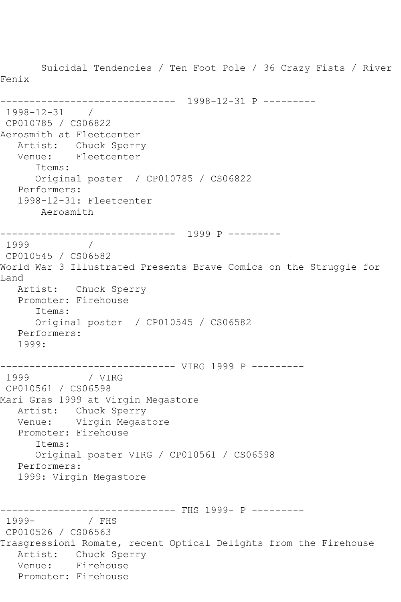Suicidal Tendencies / Ten Foot Pole / 36 Crazy Fists / River Fenix ------------------------------ 1998-12-31 P --------- 1998-12-31 / CP010785 / CS06822 Aerosmith at Fleetcenter Artist: Chuck Sperry Venue: Fleetcenter Items: Original poster / CP010785 / CS06822 Performers: 1998-12-31: Fleetcenter Aerosmith ------------------------------ 1999 P --------- 1999 / CP010545 / CS06582 World War 3 Illustrated Presents Brave Comics on the Struggle for Land Artist: Chuck Sperry Promoter: Firehouse Items: Original poster / CP010545 / CS06582 Performers: 1999: -------------------------------- VIRG 1999 P ---------<br>1999 / VIRG 1999 CP010561 / CS06598 Mari Gras 1999 at Virgin Megastore Artist: Chuck Sperry Venue: Virgin Megastore Promoter: Firehouse Items: Original poster VIRG / CP010561 / CS06598 Performers: 1999: Virgin Megastore ------------------------------ FHS 1999- P --------- 1999- / FHS CP010526 / CS06563 Trasgressioni Romate, recent Optical Delights from the Firehouse Artist: Chuck Sperry Venue: Firehouse Promoter: Firehouse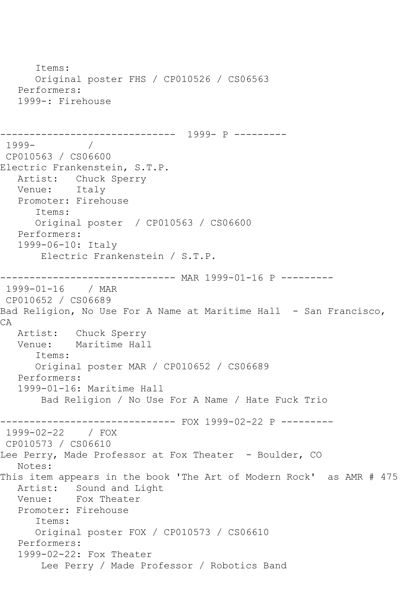Items: Original poster FHS / CP010526 / CS06563 Performers: 1999-: Firehouse ------------------------------ 1999- P --------- 1999- / CP010563 / CS06600 Electric Frankenstein, S.T.P. Artist: Chuck Sperry Venue: Italy Promoter: Firehouse Items: Original poster / CP010563 / CS06600 Performers: 1999-06-10: Italy Electric Frankenstein / S.T.P. ------------------------------ MAR 1999-01-16 P --------- 1999-01-16 / MAR CP010652 / CS06689 Bad Religion, No Use For A Name at Maritime Hall - San Francisco, CA Artist: Chuck Sperry<br>Venue: Maritime Hall Maritime Hall Items: Original poster MAR / CP010652 / CS06689 Performers: 1999-01-16: Maritime Hall Bad Religion / No Use For A Name / Hate Fuck Trio ------------------------------ FOX 1999-02-22 P --------- 1999-02-22 / FOX CP010573 / CS06610 Lee Perry, Made Professor at Fox Theater - Boulder, CO Notes: This item appears in the book 'The Art of Modern Rock' as AMR # 475 Artist: Sound and Light Venue: Fox Theater Promoter: Firehouse Items: Original poster FOX / CP010573 / CS06610 Performers: 1999-02-22: Fox Theater Lee Perry / Made Professor / Robotics Band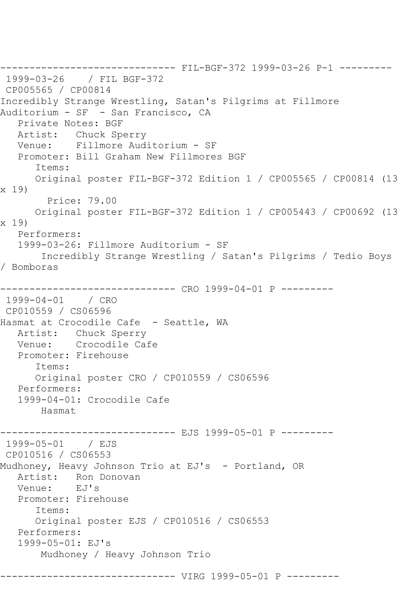------------------------------ FIL-BGF-372 1999-03-26 P-1 --------- 1999-03-26 / FIL BGF-372 CP005565 / CP00814 Incredibly Strange Wrestling, Satan's Pilgrims at Fillmore Auditorium - SF - San Francisco, CA Private Notes: BGF Artist: Chuck Sperry Venue: Fillmore Auditorium - SF Promoter: Bill Graham New Fillmores BGF Items: Original poster FIL-BGF-372 Edition 1 / CP005565 / CP00814 (13 x 19) Price: 79.00 Original poster FIL-BGF-372 Edition 1 / CP005443 / CP00692 (13 x 19) Performers: 1999-03-26: Fillmore Auditorium - SF Incredibly Strange Wrestling / Satan's Pilgrims / Tedio Boys / Bomboras ------------------------------ CRO 1999-04-01 P --------- 1999-04-01 / CRO CP010559 / CS06596 Hasmat at Crocodile Cafe - Seattle, WA Artist: Chuck Sperry<br>Venue: Crocodile Ca Crocodile Cafe Promoter: Firehouse Items: Original poster CRO / CP010559 / CS06596 Performers: 1999-04-01: Crocodile Cafe Hasmat ------------------------------ EJS 1999-05-01 P --------- 1999-05-01 / EJS CP010516 / CS06553 Mudhoney, Heavy Johnson Trio at EJ's - Portland, OR Artist: Ron Donovan<br>Venue: EJ's Venue: Promoter: Firehouse Items: Original poster EJS / CP010516 / CS06553 Performers: 1999-05-01: EJ's Mudhoney / Heavy Johnson Trio ------------------------------ VIRG 1999-05-01 P ---------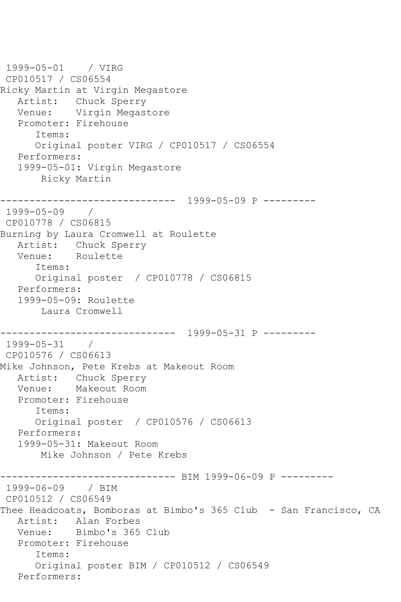```
1999-05-01 / VIRG 
CP010517 / CS06554
Ricky Martin at Virgin Megastore
   Artist: Chuck Sperry
   Venue: Virgin Megastore
   Promoter: Firehouse
       Items:
       Original poster VIRG / CP010517 / CS06554
   Performers:
   1999-05-01: Virgin Megastore
        Ricky Martin
------------------------------ 1999-05-09 P ---------
1999-05-09 / 
CP010778 / CS06815
Burning by Laura Cromwell at Roulette
   Artist: Chuck Sperry
   Venue: Roulette
       Items:
      Original poster / CP010778 / CS06815
   Performers:
   1999-05-09: Roulette
       Laura Cromwell
                  ------------------------------ 1999-05-31 P ---------
1999-05-31 / 
CP010576 / CS06613
Mike Johnson, Pete Krebs at Makeout Room
   Artist: Chuck Sperry
   Venue: Makeout Room
   Promoter: Firehouse
       Items:
      Original poster / CP010576 / CS06613
   Performers:
   1999-05-31: Makeout Room
       Mike Johnson / Pete Krebs
                    ----------- BIM 1999-06-09 P ---------
1999-06-09 / BIM 
CP010512 / CS06549
Thee Headcoats, Bomboras at Bimbo's 365 Club - San Francisco, CA
   Artist: Alan Forbes
   Venue: Bimbo's 365 Club
   Promoter: Firehouse
       Items:
       Original poster BIM / CP010512 / CS06549
   Performers:
```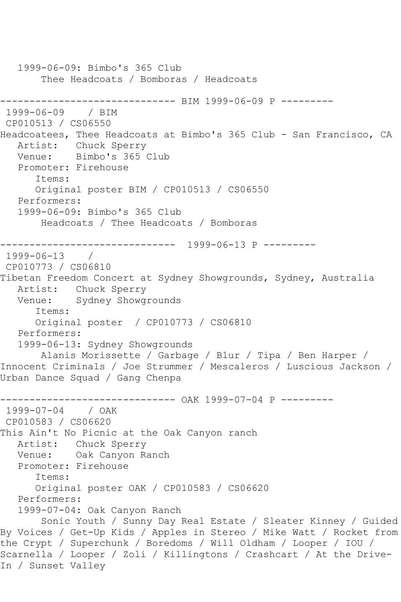1999-06-09: Bimbo's 365 Club Thee Headcoats / Bomboras / Headcoats ------------------------------ BIM 1999-06-09 P --------- 1999-06-09 CP010513 / CS06550 Headcoatees, Thee Headcoats at Bimbo's 365 Club - San Francisco, CA Artist: Chuck Sperry Venue: Bimbo's 365 Club Promoter: Firehouse Items: Original poster BIM / CP010513 / CS06550 Performers: 1999-06-09: Bimbo's 365 Club Headcoats / Thee Headcoats / Bomboras ------------------------------ 1999-06-13 P --------- 1999-06-13 / CP010773 / CS06810 Tibetan Freedom Concert at Sydney Showgrounds, Sydney, Australia Artist: Chuck Sperry Venue: Sydney Showgrounds Items: Original poster / CP010773 / CS06810 Performers: 1999-06-13: Sydney Showgrounds Alanis Morissette / Garbage / Blur / Tipa / Ben Harper / Innocent Criminals / Joe Strummer / Mescaleros / Luscious Jackson / Urban Dance Squad / Gang Chenpa ------------------------------ OAK 1999-07-04 P --------- 1999-07-04 / OAK CP010583 / CS06620 This Ain't No Picnic at the Oak Canyon ranch Artist: Chuck Sperry Venue: Oak Canyon Ranch Promoter: Firehouse Items: Original poster OAK / CP010583 / CS06620 Performers: 1999-07-04: Oak Canyon Ranch Sonic Youth / Sunny Day Real Estate / Sleater Kinney / Guided By Voices / Get-Up Kids / Apples in Stereo / Mike Watt / Rocket from the Crypt / Superchunk / Boredoms / Will Oldham / Looper / IOU / Scarnella / Looper / Zoli / Killingtons / Crashcart / At the Drive-In / Sunset Valley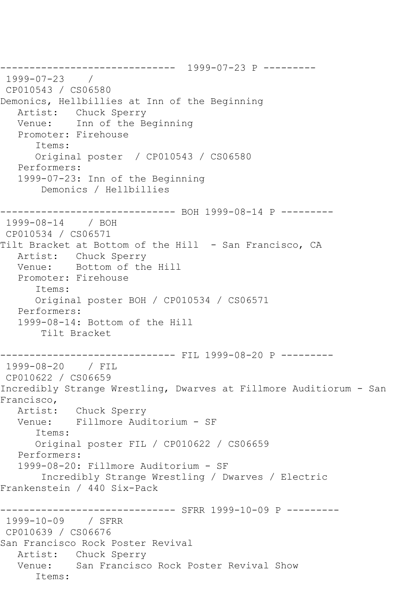------------------------------ 1999-07-23 P --------- 1999-07-23 / CP010543 / CS06580 Demonics, Hellbillies at Inn of the Beginning Artist: Chuck Sperry Venue: Inn of the Beginning Promoter: Firehouse Items: Original poster / CP010543 / CS06580 Performers: 1999-07-23: Inn of the Beginning Demonics / Hellbillies ------------------------------ BOH 1999-08-14 P --------- 1999-08-14 / BOH CP010534 / CS06571 Tilt Bracket at Bottom of the Hill - San Francisco, CA Artist: Chuck Sperry Venue: Bottom of the Hill Promoter: Firehouse Items: Original poster BOH / CP010534 / CS06571 Performers: 1999-08-14: Bottom of the Hill Tilt Bracket ------------------------------ FIL 1999-08-20 P --------- 1999-08-20 / FIL CP010622 / CS06659 Incredibly Strange Wrestling, Dwarves at Fillmore Auditiorum - San Francisco,<br>:Artist Chuck Sperry Venue: Fillmore Auditorium - SF Items: Original poster FIL / CP010622 / CS06659 Performers: 1999-08-20: Fillmore Auditorium - SF Incredibly Strange Wrestling / Dwarves / Electric Frankenstein / 440 Six-Pack ----------------- SFRR 1999-10-09 P ---------1999-10-09 / SFRR CP010639 / CS06676 San Francisco Rock Poster Revival Artist: Chuck Sperry Venue: San Francisco Rock Poster Revival Show Items: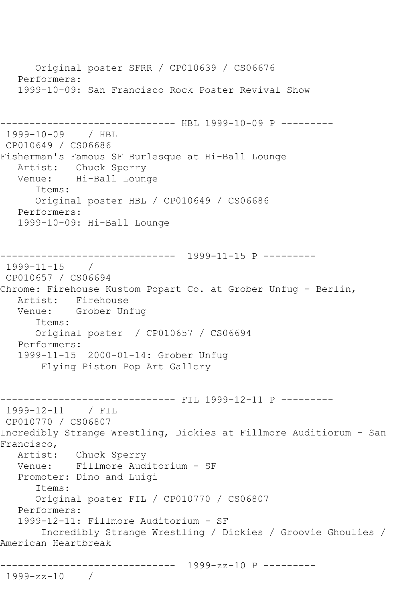Original poster SFRR / CP010639 / CS06676 Performers: 1999-10-09: San Francisco Rock Poster Revival Show --------------------- HBL 1999-10-09 P ---------1999-10-09 / HBL CP010649 / CS06686 Fisherman's Famous SF Burlesque at Hi-Ball Lounge Artist: Chuck Sperry Venue: Hi-Ball Lounge Items: Original poster HBL / CP010649 / CS06686 Performers: 1999-10-09: Hi-Ball Lounge ------------------------------ 1999-11-15 P --------- 1999-11-15 / CP010657 / CS06694 Chrome: Firehouse Kustom Popart Co. at Grober Unfug - Berlin, Artist: Firehouse Venue: Grober Unfug Items: Original poster / CP010657 / CS06694 Performers: 1999-11-15 2000-01-14: Grober Unfug Flying Piston Pop Art Gallery ------------------------------ FIL 1999-12-11 P --------- 1999-12-11 / FIL CP010770 / CS06807 Incredibly Strange Wrestling, Dickies at Fillmore Auditiorum - San Francisco, Artist: Chuck Sperry Venue: Fillmore Auditorium - SF Promoter: Dino and Luigi Items: Original poster FIL / CP010770 / CS06807 Performers: 1999-12-11: Fillmore Auditorium - SF Incredibly Strange Wrestling / Dickies / Groovie Ghoulies / American Heartbreak ------------------------------ 1999-zz-10 P --------- 1999-zz-10 /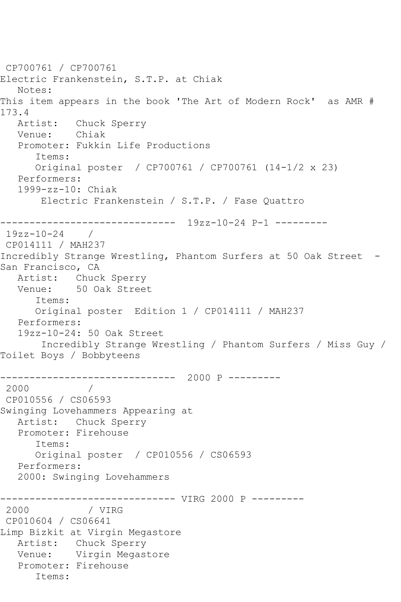```
CP700761 / CP700761
Electric Frankenstein, S.T.P. at Chiak
   Notes: 
This item appears in the book 'The Art of Modern Rock' as AMR # 
173.4<br>Artist:
           Chuck Sperry<br>Chiak
  Venue:
   Promoter: Fukkin Life Productions
       Items:
      Original poster / CP700761 / CP700761 (14-1/2 x 23)
   Performers:
   1999-zz-10: Chiak
        Electric Frankenstein / S.T.P. / Fase Quattro
         ------------------------------ 19zz-10-24 P-1 ---------
19zz-10-24 / 
CP014111 / MAH237
Incredibly Strange Wrestling, Phantom Surfers at 50 Oak Street -
San Francisco, CA
   Artist: Chuck Sperry
   Venue: 50 Oak Street
       Items:
      Original poster Edition 1 / CP014111 / MAH237
   Performers:
   19zz-10-24: 50 Oak Street
        Incredibly Strange Wrestling / Phantom Surfers / Miss Guy / 
Toilet Boys / Bobbyteens
------------------------------ 2000 P ---------
2000 / 
CP010556 / CS06593
Swinging Lovehammers Appearing at
   Artist: Chuck Sperry
   Promoter: Firehouse
       Items:
       Original poster / CP010556 / CS06593
   Performers:
   2000: Swinging Lovehammers
------------------------------ VIRG 2000 P ---------
 2000 / VIRG 
 CP010604 / CS06641
Limp Bizkit at Virgin Megastore
   Artist: Chuck Sperry
   Venue: Virgin Megastore
   Promoter: Firehouse
       Items:
```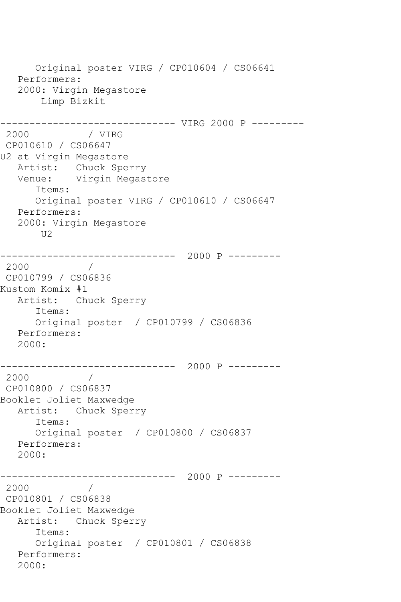Original poster VIRG / CP010604 / CS06641 Performers: 2000: Virgin Megastore Limp Bizkit ------------------------------- VIRG 2000 P ---------<br>2000 / VIRG / VIRG CP010610 / CS06647 U2 at Virgin Megastore Artist: Chuck Sperry Venue: Virgin Megastore Items: Original poster VIRG / CP010610 / CS06647 Performers: 2000: Virgin Megastore  $U2$ ------------------------------ 2000 P --------- 2000 / CP010799 / CS06836 Kustom Komix #1 Artist: Chuck Sperry Items: Original poster / CP010799 / CS06836 Performers: 2000: ------------------------------ 2000 P --------- 2000 / CP010800 / CS06837 Booklet Joliet Maxwedge Artist: Chuck Sperry Items: Original poster / CP010800 / CS06837 Performers: 2000: ------------------------------ 2000 P ---------  $\overline{1}$ CP010801 / CS06838 Booklet Joliet Maxwedge Artist: Chuck Sperry Items: Original poster / CP010801 / CS06838 Performers: 2000: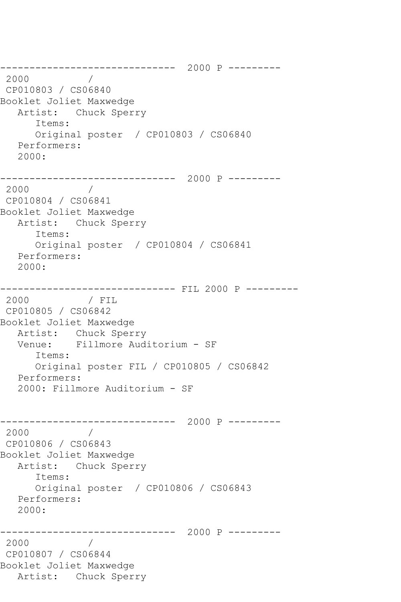------------------------------ 2000 P --------- 2000 / CP010803 / CS06840 Booklet Joliet Maxwedge Artist: Chuck Sperry Items: Original poster / CP010803 / CS06840 Performers: 2000: ------------------------------ 2000 P --------- 2000 / CP010804 / CS06841 Booklet Joliet Maxwedge Artist: Chuck Sperry Items: Original poster / CP010804 / CS06841 Performers: 2000: ------------------------------ FIL 2000 P --------- 2000 / FIL CP010805 / CS06842 Booklet Joliet Maxwedge Artist: Chuck Sperry<br>Venue: Fillmore Aud Fillmore Auditorium - SF Items: Original poster FIL / CP010805 / CS06842 Performers: 2000: Fillmore Auditorium - SF ------------------------------ 2000 P --------- 2000 / CP010806 / CS06843 Booklet Joliet Maxwedge Artist: Chuck Sperry Items: Original poster / CP010806 / CS06843 Performers: 2000: ------------------------------ 2000 P --------- 2000 / CP010807 / CS06844 Booklet Joliet Maxwedge Artist: Chuck Sperry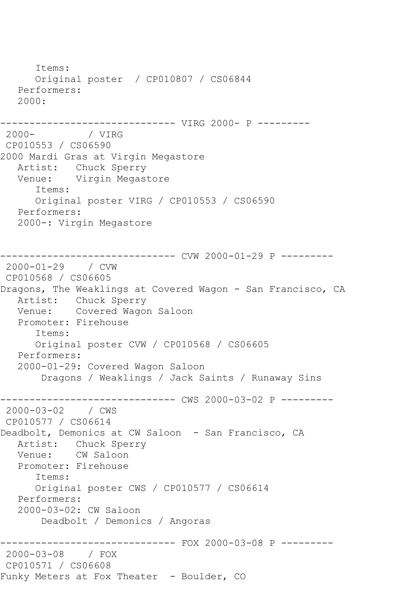Items: Original poster / CP010807 / CS06844 Performers: 2000: -------------------------------- VIRG 2000- P ---------<br>2000- / VIRG / VIRG CP010553 / CS06590 2000 Mardi Gras at Virgin Megastore Artist: Chuck Sperry Venue: Virgin Megastore Items: Original poster VIRG / CP010553 / CS06590 Performers: 2000-: Virgin Megastore ------------------------------ CVW 2000-01-29 P --------- 2000-01-29 / CVW CP010568 / CS06605 Dragons, The Weaklings at Covered Wagon - San Francisco, CA Artist: Chuck Sperry Venue: Covered Wagon Saloon Promoter: Firehouse Items: Original poster CVW / CP010568 / CS06605 Performers: 2000-01-29: Covered Wagon Saloon Dragons / Weaklings / Jack Saints / Runaway Sins ---------- CWS 2000-03-02 P ---------2000-03-02 / CWS CP010577 / CS06614 Deadbolt, Demonics at CW Saloon - San Francisco, CA Artist: Chuck Sperry Venue: CW Saloon Promoter: Firehouse Items: Original poster CWS / CP010577 / CS06614 Performers: 2000-03-02: CW Saloon Deadbolt / Demonics / Angoras ----------- FOX 2000-03-08 P ---------2000-03-08 / FOX CP010571 / CS06608 Funky Meters at Fox Theater - Boulder, CO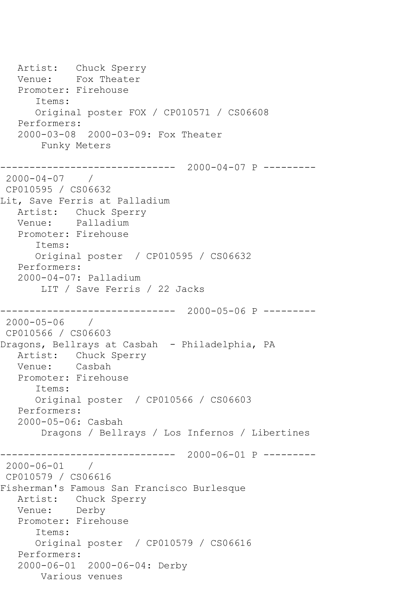Artist: Chuck Sperry Venue: Fox Theater Promoter: Firehouse Items: Original poster FOX / CP010571 / CS06608 Performers: 2000-03-08 2000-03-09: Fox Theater Funky Meters ------------------------------ 2000-04-07 P --------- 2000-04-07 / CP010595 / CS06632 Lit, Save Ferris at Palladium Artist: Chuck Sperry Venue: Palladium Promoter: Firehouse Items: Original poster / CP010595 / CS06632 Performers: 2000-04-07: Palladium LIT / Save Ferris / 22 Jacks ------------------------------ 2000-05-06 P --------- 2000-05-06 / CP010566 / CS06603 Dragons, Bellrays at Casbah - Philadelphia, PA Artist: Chuck Sperry Venue: Casbah Promoter: Firehouse Items: Original poster / CP010566 / CS06603 Performers: 2000-05-06: Casbah Dragons / Bellrays / Los Infernos / Libertines ------------------------------ 2000-06-01 P ---------  $2000 - 06 - 01$ CP010579 / CS06616 Fisherman's Famous San Francisco Burlesque Artist: Chuck Sperry Venue: Derby Promoter: Firehouse Items: Original poster / CP010579 / CS06616 Performers: 2000-06-01 2000-06-04: Derby Various venues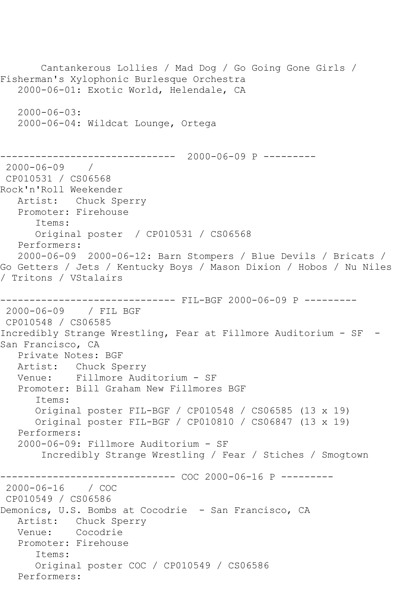Cantankerous Lollies / Mad Dog / Go Going Gone Girls / Fisherman's Xylophonic Burlesque Orchestra 2000-06-01: Exotic World, Helendale, CA 2000-06-03: 2000-06-04: Wildcat Lounge, Ortega ------------------------------ 2000-06-09 P --------- 2000-06-09 / CP010531 / CS06568 Rock'n'Roll Weekender Artist: Chuck Sperry Promoter: Firehouse Items: Original poster / CP010531 / CS06568 Performers: 2000-06-09 2000-06-12: Barn Stompers / Blue Devils / Bricats / Go Getters / Jets / Kentucky Boys / Mason Dixion / Hobos / Nu Niles / Tritons / VStalairs ------------------------------ FIL-BGF 2000-06-09 P --------- 2000-06-09 / FIL BGF CP010548 / CS06585 Incredibly Strange Wrestling, Fear at Fillmore Auditorium - SF - San Francisco, CA Private Notes: BGF Artist: Chuck Sperry Venue: Fillmore Auditorium - SF Promoter: Bill Graham New Fillmores BGF Items: Original poster FIL-BGF / CP010548 / CS06585 (13 x 19) Original poster FIL-BGF / CP010810 / CS06847 (13 x 19) Performers: 2000-06-09: Fillmore Auditorium - SF Incredibly Strange Wrestling / Fear / Stiches / Smogtown ------------ COC 2000-06-16 P ----------2000-06-16 / COC CP010549 / CS06586 Demonics, U.S. Bombs at Cocodrie - San Francisco, CA Artist: Chuck Sperry Venue: Cocodrie Promoter: Firehouse Items: Original poster COC / CP010549 / CS06586 Performers: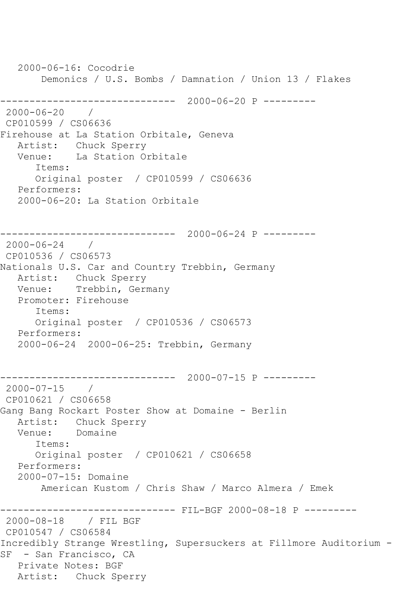2000-06-16: Cocodrie Demonics / U.S. Bombs / Damnation / Union 13 / Flakes ------------------------------ 2000-06-20 P --------- 2000-06-20 / CP010599 / CS06636 Firehouse at La Station Orbitale, Geneva Artist: Chuck Sperry Venue: La Station Orbitale Items: Original poster / CP010599 / CS06636 Performers: 2000-06-20: La Station Orbitale ------------------------------ 2000-06-24 P --------- 2000-06-24 / CP010536 / CS06573 Nationals U.S. Car and Country Trebbin, Germany Artist: Chuck Sperry Venue: Trebbin, Germany Promoter: Firehouse Items: Original poster / CP010536 / CS06573 Performers: 2000-06-24 2000-06-25: Trebbin, Germany ------------------------------ 2000-07-15 P --------- 2000-07-15 / CP010621 / CS06658 Gang Bang Rockart Poster Show at Domaine - Berlin Artist: Chuck Sperry<br>Venue: Domaine Domaine Items: Original poster / CP010621 / CS06658 Performers: 2000-07-15: Domaine American Kustom / Chris Shaw / Marco Almera / Emek ------------------------------ FIL-BGF 2000-08-18 P --------- 2000-08-18 / FIL BGF CP010547 / CS06584 Incredibly Strange Wrestling, Supersuckers at Fillmore Auditorium - SF - San Francisco, CA Private Notes: BGF Artist: Chuck Sperry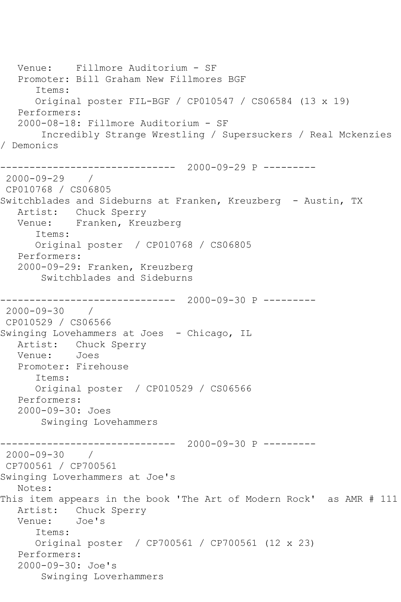```
 Venue: Fillmore Auditorium - SF
   Promoter: Bill Graham New Fillmores BGF
       Items:
       Original poster FIL-BGF / CP010547 / CS06584 (13 x 19)
    Performers:
    2000-08-18: Fillmore Auditorium - SF
        Incredibly Strange Wrestling / Supersuckers / Real Mckenzies 
/ Demonics
         ------------------------------ 2000-09-29 P ---------
2000 - 09 - 29CP010768 / CS06805
Switchblades and Sideburns at Franken, Kreuzberg - Austin, TX
   Artist: Chuck Sperry
   Venue: Franken, Kreuzberg
       Items:
       Original poster / CP010768 / CS06805
    Performers:
   2000-09-29: Franken, Kreuzberg
        Switchblades and Sideburns
                  ------------------------------ 2000-09-30 P ---------
2000-09-30 / 
CP010529 / CS06566
Swinging Lovehammers at Joes - Chicago, IL
   Artist: Chuck Sperry
   Venue: Joes
   Promoter: Firehouse
       Items:
       Original poster / CP010529 / CS06566
   Performers:
    2000-09-30: Joes
        Swinging Lovehammers
                   ------------------------------ 2000-09-30 P ---------
2000-09-30 / 
CP700561 / CP700561
Swinging Loverhammers at Joe's
   Notes: 
This item appears in the book 'The Art of Modern Rock' as AMR # 111
   Artist: Chuck Sperry
   Venue: Joe's
       Items:
       Original poster / CP700561 / CP700561 (12 x 23)
    Performers:
    2000-09-30: Joe's
        Swinging Loverhammers
```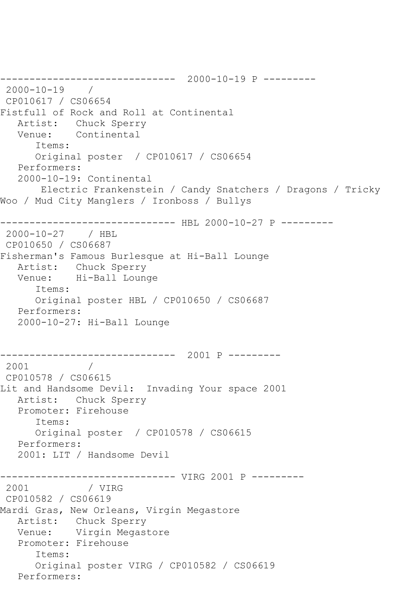```
------------------------------ 2000-10-19 P ---------
2000-10-19 / 
CP010617 / CS06654
Fistfull of Rock and Roll at Continental
   Artist: Chuck Sperry
   Venue: Continental
      Items:
      Original poster / CP010617 / CS06654
   Performers:
   2000-10-19: Continental
       Electric Frankenstein / Candy Snatchers / Dragons / Tricky 
Woo / Mud City Manglers / Ironboss / Bullys
------------------------------ HBL 2000-10-27 P ---------
2000-10-27 / HBL 
CP010650 / CS06687
Fisherman's Famous Burlesque at Hi-Ball Lounge
 Artist: Chuck Sperry
 Venue: Hi-Ball Lounge
      Items:
      Original poster HBL / CP010650 / CS06687
   Performers:
   2000-10-27: Hi-Ball Lounge
------------------------------ 2001 P ---------
2001 / 
CP010578 / CS06615
Lit and Handsome Devil: Invading Your space 2001
   Artist: Chuck Sperry
   Promoter: Firehouse
      Items:
      Original poster / CP010578 / CS06615
   Performers:
   2001: LIT / Handsome Devil
------------------------------ VIRG 2001 P ---------
2001 / VIRG 
CP010582 / CS06619
Mardi Gras, New Orleans, Virgin Megastore
   Artist: Chuck Sperry
   Venue: Virgin Megastore
   Promoter: Firehouse
      Items:
      Original poster VIRG / CP010582 / CS06619
   Performers:
```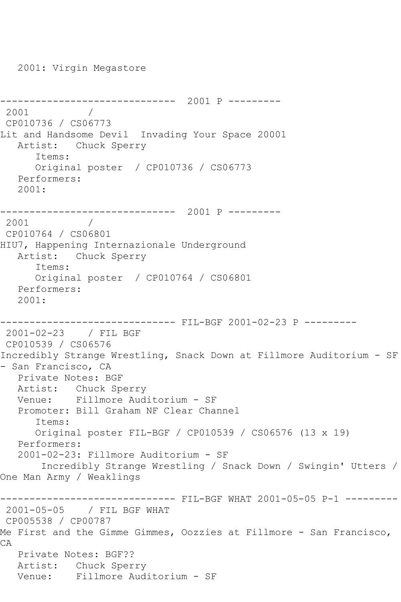2001: Virgin Megastore ------------------------------ 2001 P --------- 2001 CP010736 / CS06773 Lit and Handsome Devil Invading Your Space 20001 Artist: Chuck Sperry Items: Original poster / CP010736 / CS06773 Performers: 2001: ------------------------------ 2001 P --------- 2001 CP010764 / CS06801 HIU7, Happening Internazionale Underground Artist: Chuck Sperry Items: Original poster / CP010764 / CS06801 Performers: 2001: ------------------------------ FIL-BGF 2001-02-23 P --------- 2001-02-23 / FIL BGF CP010539 / CS06576 Incredibly Strange Wrestling, Snack Down at Fillmore Auditorium - SF - San Francisco, CA Private Notes: BGF Artist: Chuck Sperry Venue: Fillmore Auditorium - SF Promoter: Bill Graham NF Clear Channel Items: Original poster FIL-BGF / CP010539 / CS06576 (13 x 19) Performers: 2001-02-23: Fillmore Auditorium - SF Incredibly Strange Wrestling / Snack Down / Swingin' Utters / One Man Army / Weaklings ------------------------------ FIL-BGF WHAT 2001-05-05 P-1 ----------2001-05-05 / FIL BGF WHAT CP005538 / CP00787 Me First and the Gimme Gimmes, Oozzies at Fillmore - San Francisco, CA Private Notes: BGF?? Artist: Chuck Sperry Venue: Fillmore Auditorium - SF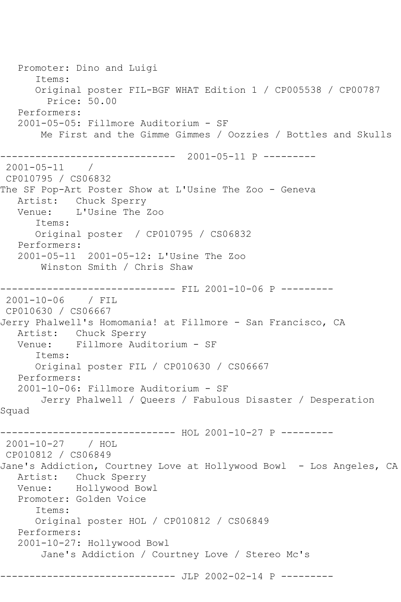Promoter: Dino and Luigi Items: Original poster FIL-BGF WHAT Edition 1 / CP005538 / CP00787 Price: 50.00 Performers: 2001-05-05: Fillmore Auditorium - SF Me First and the Gimme Gimmes / Oozzies / Bottles and Skulls ------------------------------ 2001-05-11 P ---------  $2001 - 05 - 11$ CP010795 / CS06832 The SF Pop-Art Poster Show at L'Usine The Zoo - Geneva Artist: Chuck Sperry Venue: L'Usine The Zoo Items: Original poster / CP010795 / CS06832 Performers: 2001-05-11 2001-05-12: L'Usine The Zoo Winston Smith / Chris Shaw ------------------------------ FIL 2001-10-06 P --------- 2001-10-06 / FIL CP010630 / CS06667 Jerry Phalwell's Homomania! at Fillmore - San Francisco, CA Artist: Chuck Sperry<br>Venue: Fillmore Aud Fillmore Auditorium - SF Items: Original poster FIL / CP010630 / CS06667 Performers: 2001-10-06: Fillmore Auditorium - SF Jerry Phalwell / Queers / Fabulous Disaster / Desperation Squad ------------------------------ HOL 2001-10-27 P --------- 2001-10-27 / HOL CP010812 / CS06849 Jane's Addiction, Courtney Love at Hollywood Bowl - Los Angeles, CA Artist: Chuck Sperry Venue: Hollywood Bowl Promoter: Golden Voice Items: Original poster HOL / CP010812 / CS06849 Performers: 2001-10-27: Hollywood Bowl Jane's Addiction / Courtney Love / Stereo Mc's ------------------------------ JLP 2002-02-14 P ---------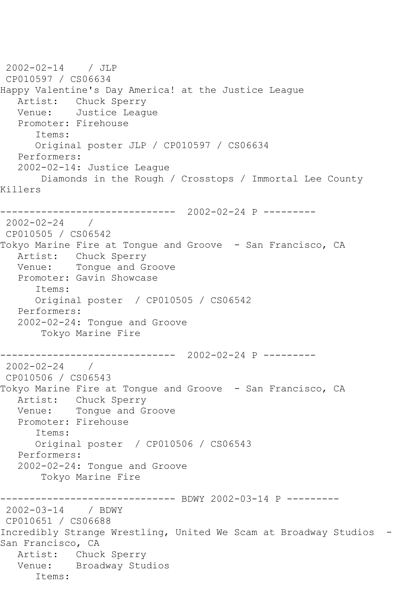2002-02-14 / JLP CP010597 / CS06634 Happy Valentine's Day America! at the Justice League Artist: Chuck Sperry Venue: Justice League Promoter: Firehouse Items: Original poster JLP / CP010597 / CS06634 Performers: 2002-02-14: Justice League Diamonds in the Rough / Crosstops / Immortal Lee County Killers ------------------------------ 2002-02-24 P --------- 2002-02-24 / CP010505 / CS06542 Tokyo Marine Fire at Tongue and Groove - San Francisco, CA Artist: Chuck Sperry Venue: Tongue and Groove Promoter: Gavin Showcase Items: Original poster / CP010505 / CS06542 Performers: 2002-02-24: Tongue and Groove Tokyo Marine Fire ------------------------------ 2002-02-24 P --------- 2002-02-24 / CP010506 / CS06543 Tokyo Marine Fire at Tongue and Groove - San Francisco, CA Artist: Chuck Sperry Venue: Tongue and Groove Promoter: Firehouse Items: Original poster / CP010506 / CS06543 Performers: 2002-02-24: Tongue and Groove Tokyo Marine Fire ------------------------------ BDWY 2002-03-14 P --------- 2002-03-14 / BDWY CP010651 / CS06688 Incredibly Strange Wrestling, United We Scam at Broadway Studios - San Francisco, CA Artist: Chuck Sperry Venue: Broadway Studios Items: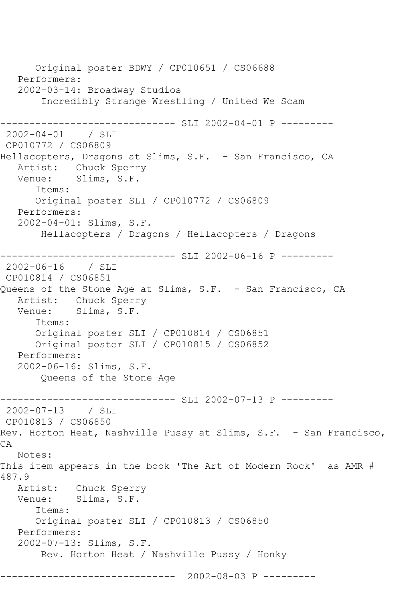Original poster BDWY / CP010651 / CS06688 Performers: 2002-03-14: Broadway Studios Incredibly Strange Wrestling / United We Scam ------------- SLI 2002-04-01 P ---------2002-04-01 / SLI CP010772 / CS06809 Hellacopters, Dragons at Slims, S.F. - San Francisco, CA Artist: Chuck Sperry<br>Venue: Slims, S.F. Slims, S.F. Items: Original poster SLI / CP010772 / CS06809 Performers: 2002-04-01: Slims, S.F. Hellacopters / Dragons / Hellacopters / Dragons ------------------------------ SLI 2002-06-16 P --------- 2002-06-16 / SLI CP010814 / CS06851 Queens of the Stone Age at Slims, S.F. - San Francisco, CA Artist: Chuck Sperry Venue: Slims, S.F. Items: Original poster SLI / CP010814 / CS06851 Original poster SLI / CP010815 / CS06852 Performers: 2002-06-16: Slims, S.F. Queens of the Stone Age ------------------------------ SLI 2002-07-13 P --------- 2002-07-13 / SLI CP010813 / CS06850 Rev. Horton Heat, Nashville Pussy at Slims, S.F. - San Francisco,  $CA$  Notes: This item appears in the book 'The Art of Modern Rock' as AMR # 487.9 Artist: Chuck Sperry<br>Venue: Slims, S.F. Slims, S.F. Items: Original poster SLI / CP010813 / CS06850 Performers: 2002-07-13: Slims, S.F. Rev. Horton Heat / Nashville Pussy / Honky ------------------------------ 2002-08-03 P ---------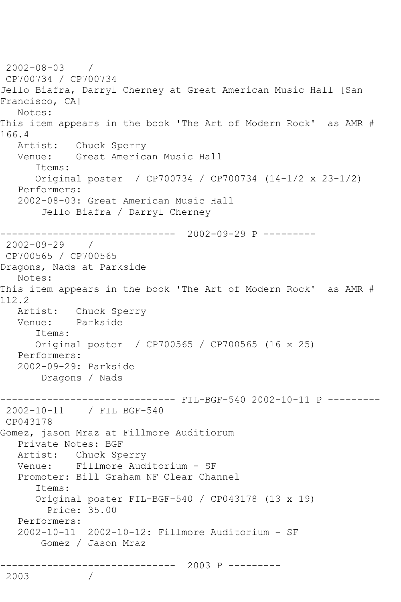2002-08-03 / CP700734 / CP700734 Jello Biafra, Darryl Cherney at Great American Music Hall [San Francisco, CA] Notes: This item appears in the book 'The Art of Modern Rock' as AMR # 166.4 Artist: Chuck Sperry Venue: Great American Music Hall Items: Original poster / CP700734 / CP700734 (14-1/2 x 23-1/2) Performers: 2002-08-03: Great American Music Hall Jello Biafra / Darryl Cherney ------------------------------ 2002-09-29 P --------- 2002-09-29 / CP700565 / CP700565 Dragons, Nads at Parkside Notes: This item appears in the book 'The Art of Modern Rock' as AMR # 112.2 Artist: Chuck Sperry<br>Venue: Parkside Parkside Items: Original poster / CP700565 / CP700565 (16 x 25) Performers: 2002-09-29: Parkside Dragons / Nads ------------------------------ FIL-BGF-540 2002-10-11 P --------- 2002-10-11 / FIL BGF-540 CP043178 Gomez, jason Mraz at Fillmore Auditiorum Private Notes: BGF Artist: Chuck Sperry Venue: Fillmore Auditorium - SF Promoter: Bill Graham NF Clear Channel Items: Original poster FIL-BGF-540 / CP043178 (13 x 19) Price: 35.00 Performers: 2002-10-11 2002-10-12: Fillmore Auditorium - SF Gomez / Jason Mraz ------------------------------ 2003 P --------- 2003 /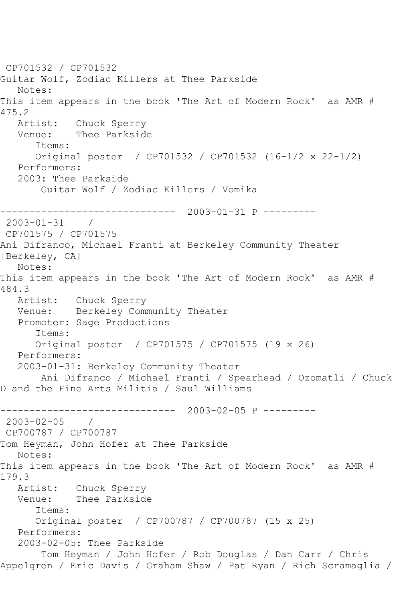CP701532 / CP701532 Guitar Wolf, Zodiac Killers at Thee Parkside Notes: This item appears in the book 'The Art of Modern Rock' as AMR # 475.2<br>Artist: Artist: Chuck Sperry<br>Venue: Thee Parkside Thee Parkside Items: Original poster / CP701532 / CP701532 (16-1/2 x 22-1/2) Performers: 2003: Thee Parkside Guitar Wolf / Zodiac Killers / Vomika ------------------------------ 2003-01-31 P --------- 2003-01-31 / CP701575 / CP701575 Ani Difranco, Michael Franti at Berkeley Community Theater [Berkeley, CA] Notes: This item appears in the book 'The Art of Modern Rock' as AMR # 484.3 Artist: Chuck Sperry Venue: Berkeley Community Theater Promoter: Sage Productions Items: Original poster / CP701575 / CP701575 (19 x 26) Performers: 2003-01-31: Berkeley Community Theater Ani Difranco / Michael Franti / Spearhead / Ozomatli / Chuck D and the Fine Arts Militia / Saul Williams ------------------------------ 2003-02-05 P --------- 2003-02-05 / CP700787 / CP700787 Tom Heyman, John Hofer at Thee Parkside Notes: This item appears in the book 'The Art of Modern Rock' as AMR # 179.3 Artist: Chuck Sperry<br>Venue: Thee Parkside Thee Parkside Items: Original poster / CP700787 / CP700787 (15 x 25) Performers: 2003-02-05: Thee Parkside Tom Heyman / John Hofer / Rob Douglas / Dan Carr / Chris Appelgren / Eric Davis / Graham Shaw / Pat Ryan / Rich Scramaglia /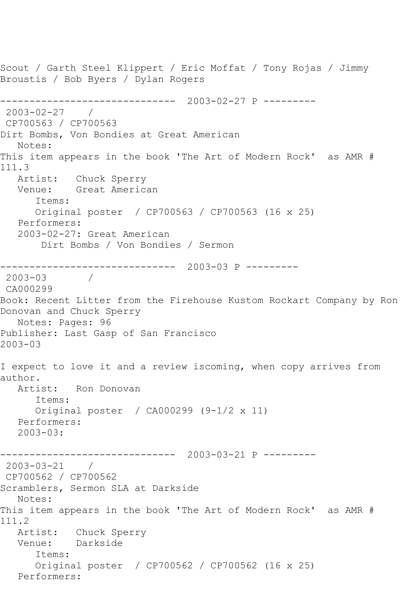Scout / Garth Steel Klippert / Eric Moffat / Tony Rojas / Jimmy Broustis / Bob Byers / Dylan Rogers ------------------------------ 2003-02-27 P --------- 2003-02-27 / CP700563 / CP700563 Dirt Bombs, Von Bondies at Great American Notes: This item appears in the book 'The Art of Modern Rock' as AMR # 111.3<br>Artist: Chuck Sperry Venue: Great American Items: Original poster / CP700563 / CP700563 (16 x 25) Performers: 2003-02-27: Great American Dirt Bombs / Von Bondies / Sermon ------------------------------ 2003-03 P --------- 2003-03 / CA000299 Book: Recent Litter from the Firehouse Kustom Rockart Company by Ron Donovan and Chuck Sperry Notes: Pages: 96 Publisher: Last Gasp of San Francisco 2003-03 I expect to love it and a review iscoming, when copy arrives from author. Artist: Ron Donovan Items: Original poster / CA000299 (9-1/2 x 11) Performers: 2003-03: ------------------------------ 2003-03-21 P --------- 2003-03-21 / CP700562 / CP700562 Scramblers, Sermon SLA at Darkside Notes: This item appears in the book 'The Art of Modern Rock' as AMR # 111.2 Artist: Chuck Sperry Venue: Darkside Items: Original poster / CP700562 / CP700562 (16 x 25) Performers: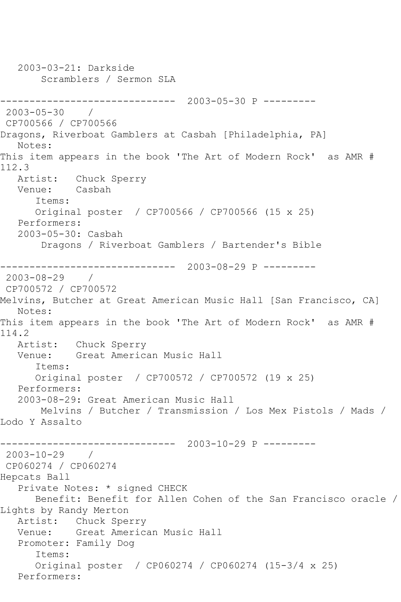2003-03-21: Darkside Scramblers / Sermon SLA ------------------------------ 2003-05-30 P ---------  $2003 - 05 - 30$ CP700566 / CP700566 Dragons, Riverboat Gamblers at Casbah [Philadelphia, PA] Notes: This item appears in the book 'The Art of Modern Rock' as AMR # 112.3<br>Artist: Chuck Sperry Venue: Casbah Items: Original poster / CP700566 / CP700566 (15 x 25) Performers: 2003-05-30: Casbah Dragons / Riverboat Gamblers / Bartender's Bible ------------------------------ 2003-08-29 P --------- 2003-08-29 / CP700572 / CP700572 Melvins, Butcher at Great American Music Hall [San Francisco, CA] Notes: This item appears in the book 'The Art of Modern Rock' as AMR # 114.2 Artist: Chuck Sperry Venue: Great American Music Hall Items: Original poster / CP700572 / CP700572 (19 x 25) Performers: 2003-08-29: Great American Music Hall Melvins / Butcher / Transmission / Los Mex Pistols / Mads / Lodo Y Assalto ------------------------------ 2003-10-29 P --------- 2003-10-29 / CP060274 / CP060274 Hepcats Ball Private Notes: \* signed CHECK Benefit: Benefit for Allen Cohen of the San Francisco oracle / Lights by Randy Merton Artist: Chuck Sperry Venue: Great American Music Hall Promoter: Family Dog Items: Original poster / CP060274 / CP060274 (15-3/4 x 25) Performers: